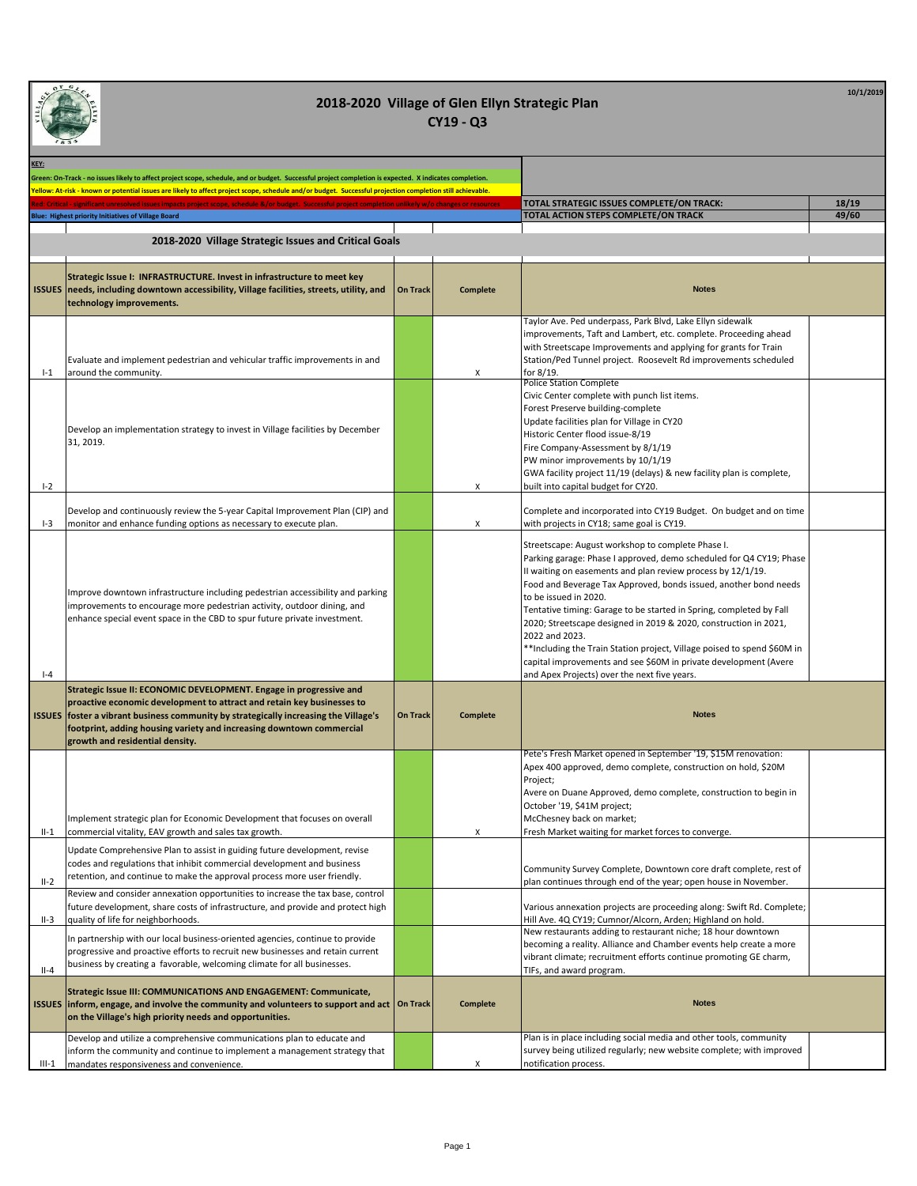| KEY:    | Green: On-Track - no issues likely to affect project scope, schedule, and or budget. Successful project completion is expected. X indicates completion<br>Yellow: At-risk - known or potential issues are likely to affect project scope, schedule and/or budget. Successful projection completion still achievable.                               |                 |                 |                                                                                                                                                                                                                                                                                                                                                                                                                                                                                                                                                                                                                                                  |       |
|---------|----------------------------------------------------------------------------------------------------------------------------------------------------------------------------------------------------------------------------------------------------------------------------------------------------------------------------------------------------|-----------------|-----------------|--------------------------------------------------------------------------------------------------------------------------------------------------------------------------------------------------------------------------------------------------------------------------------------------------------------------------------------------------------------------------------------------------------------------------------------------------------------------------------------------------------------------------------------------------------------------------------------------------------------------------------------------------|-------|
|         | ted: Critical - significant unresolved issues impacts project scope, schedule &/or budget. Successful project completion unlikely w/o changes or resource                                                                                                                                                                                          |                 |                 | TOTAL STRATEGIC ISSUES COMPLETE/ON TRACK:                                                                                                                                                                                                                                                                                                                                                                                                                                                                                                                                                                                                        | 18/19 |
|         | Blue: Highest priority Initiatives of Village Board                                                                                                                                                                                                                                                                                                |                 |                 | TOTAL ACTION STEPS COMPLETE/ON TRACK                                                                                                                                                                                                                                                                                                                                                                                                                                                                                                                                                                                                             | 49/60 |
|         | 2018-2020 Village Strategic Issues and Critical Goals                                                                                                                                                                                                                                                                                              |                 |                 |                                                                                                                                                                                                                                                                                                                                                                                                                                                                                                                                                                                                                                                  |       |
|         | Strategic Issue I: INFRASTRUCTURE. Invest in infrastructure to meet key<br>ISSUES   needs, including downtown accessibility, Village facilities, streets, utility, and<br>technology improvements.                                                                                                                                                 | <b>On Track</b> | <b>Complete</b> | <b>Notes</b>                                                                                                                                                                                                                                                                                                                                                                                                                                                                                                                                                                                                                                     |       |
| $I-1$   | Evaluate and implement pedestrian and vehicular traffic improvements in and<br>around the community.                                                                                                                                                                                                                                               |                 | X               | Taylor Ave. Ped underpass, Park Blvd, Lake Ellyn sidewalk<br>improvements, Taft and Lambert, etc. complete. Proceeding ahead<br>with Streetscape Improvements and applying for grants for Train<br>Station/Ped Tunnel project. Roosevelt Rd improvements scheduled<br>for 8/19.                                                                                                                                                                                                                                                                                                                                                                  |       |
| $I - 2$ | Develop an implementation strategy to invest in Village facilities by December<br>31, 2019.                                                                                                                                                                                                                                                        |                 | X               | <b>Police Station Complete</b><br>Civic Center complete with punch list items.<br>Forest Preserve building-complete<br>Update facilities plan for Village in CY20<br>Historic Center flood issue-8/19<br>Fire Company-Assessment by 8/1/19<br>PW minor improvements by 10/1/19<br>GWA facility project 11/19 (delays) & new facility plan is complete,<br>built into capital budget for CY20.                                                                                                                                                                                                                                                    |       |
| $I-3$   | Develop and continuously review the 5-year Capital Improvement Plan (CIP) and<br>monitor and enhance funding options as necessary to execute plan.                                                                                                                                                                                                 |                 | X               | Complete and incorporated into CY19 Budget. On budget and on time<br>with projects in CY18; same goal is CY19.                                                                                                                                                                                                                                                                                                                                                                                                                                                                                                                                   |       |
| $-4$    | Improve downtown infrastructure including pedestrian accessibility and parking<br>improvements to encourage more pedestrian activity, outdoor dining, and<br>enhance special event space in the CBD to spur future private investment.                                                                                                             |                 |                 | Streetscape: August workshop to complete Phase I.<br>Parking garage: Phase I approved, demo scheduled for Q4 CY19; Phase<br>II waiting on easements and plan review process by 12/1/19.<br>Food and Beverage Tax Approved, bonds issued, another bond needs<br>to be issued in 2020.<br>Tentative timing: Garage to be started in Spring, completed by Fall<br>2020; Streetscape designed in 2019 & 2020, construction in 2021,<br>2022 and 2023.<br>**Including the Train Station project, Village poised to spend \$60M in<br>capital improvements and see \$60M in private development (Avere<br>and Apex Projects) over the next five years. |       |
|         | Strategic Issue II: ECONOMIC DEVELOPMENT. Engage in progressive and<br>proactive economic development to attract and retain key businesses to<br>ISSUES   foster a vibrant business community by strategically increasing the Village's<br>footprint, adding housing variety and increasing downtown commercial<br>growth and residential density. | <b>On Track</b> | Complete        | <b>Notes</b>                                                                                                                                                                                                                                                                                                                                                                                                                                                                                                                                                                                                                                     |       |
| $II-1$  | Implement strategic plan for Economic Development that focuses on overall<br>commercial vitality, EAV growth and sales tax growth.                                                                                                                                                                                                                 |                 |                 | Pete's Fresh Market opened in September '19, \$15M renovation:<br>Apex 400 approved, demo complete, construction on hold, \$20M<br>Project;<br>Avere on Duane Approved, demo complete, construction to begin in<br>October '19, \$41M project;<br>McChesney back on market;<br>Fresh Market waiting for market forces to converge.                                                                                                                                                                                                                                                                                                               |       |
| $II-2$  | Update Comprehensive Plan to assist in guiding future development, revise<br>codes and regulations that inhibit commercial development and business<br>retention, and continue to make the approval process more user friendly.                                                                                                                    |                 |                 | Community Survey Complete, Downtown core draft complete, rest of<br>plan continues through end of the year; open house in November.                                                                                                                                                                                                                                                                                                                                                                                                                                                                                                              |       |
| II-3    | Review and consider annexation opportunities to increase the tax base, control<br>future development, share costs of infrastructure, and provide and protect high<br>quality of life for neighborhoods.                                                                                                                                            |                 |                 | Various annexation projects are proceeding along: Swift Rd. Complete;<br>Hill Ave. 4Q CY19; Cumnor/Alcorn, Arden; Highland on hold.                                                                                                                                                                                                                                                                                                                                                                                                                                                                                                              |       |
| $II-4$  | In partnership with our local business-oriented agencies, continue to provide<br>progressive and proactive efforts to recruit new businesses and retain current<br>business by creating a favorable, welcoming climate for all businesses.                                                                                                         |                 |                 | New restaurants adding to restaurant niche; 18 hour downtown<br>becoming a reality. Alliance and Chamber events help create a more<br>vibrant climate; recruitment efforts continue promoting GE charm,<br>TIFs, and award program.                                                                                                                                                                                                                                                                                                                                                                                                              |       |
|         | Strategic Issue III: COMMUNICATIONS AND ENGAGEMENT: Communicate,<br>ISSUES inform, engage, and involve the community and volunteers to support and act   On Track<br>on the Village's high priority needs and opportunities.                                                                                                                       |                 | Complete        | <b>Notes</b>                                                                                                                                                                                                                                                                                                                                                                                                                                                                                                                                                                                                                                     |       |
| $III-1$ | Develop and utilize a comprehensive communications plan to educate and<br>inform the community and continue to implement a management strategy that<br>mandates responsiveness and convenience.                                                                                                                                                    |                 | Х               | Plan is in place including social media and other tools, community<br>survey being utilized regularly; new website complete; with improved<br>notification process.                                                                                                                                                                                                                                                                                                                                                                                                                                                                              |       |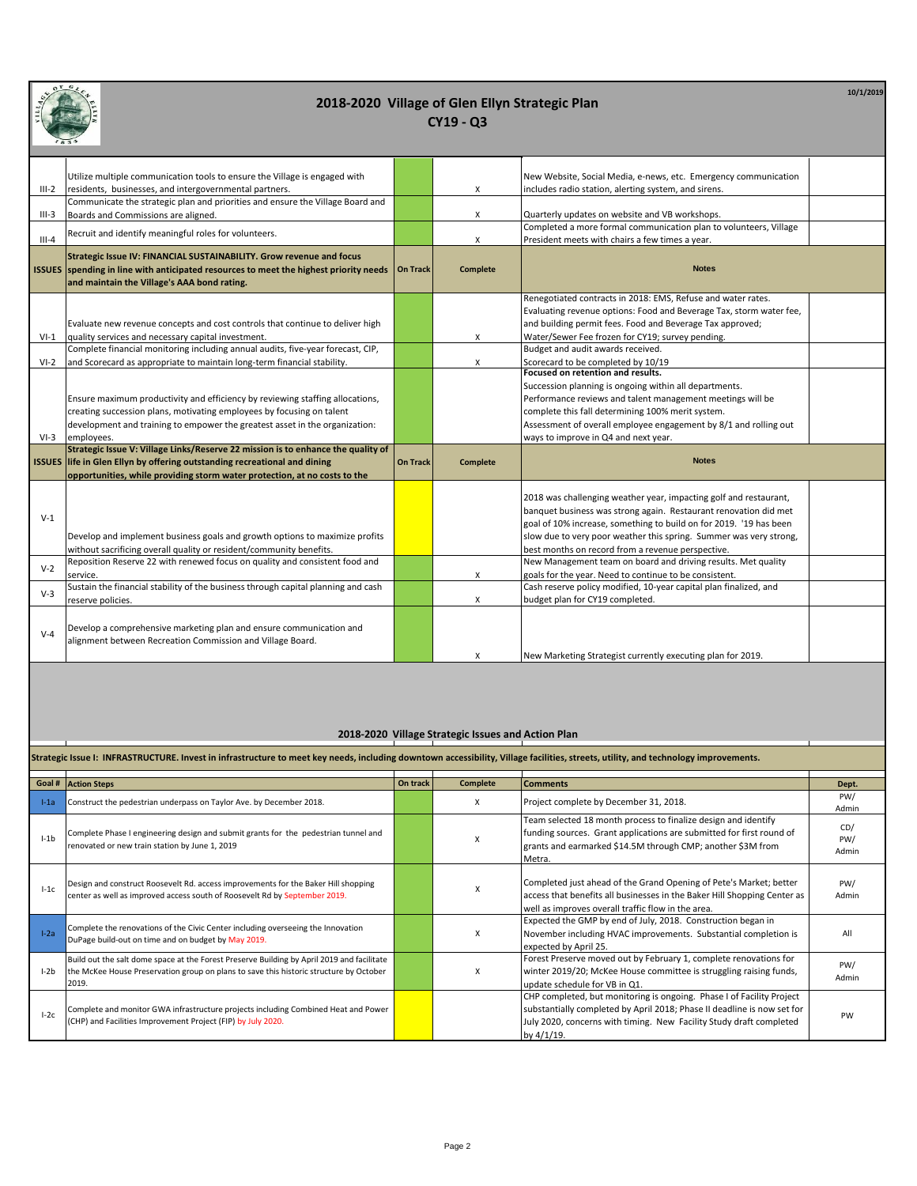

**10/1/2019**

| 1834    |                                                                                                                       |                 |                           |                                                                     |
|---------|-----------------------------------------------------------------------------------------------------------------------|-----------------|---------------------------|---------------------------------------------------------------------|
|         |                                                                                                                       |                 |                           |                                                                     |
|         | Utilize multiple communication tools to ensure the Village is engaged with                                            |                 |                           | New Website, Social Media, e-news, etc. Emergency communication     |
| $III-2$ | residents, businesses, and intergovernmental partners.                                                                |                 | X                         | includes radio station, alerting system, and sirens.                |
| III-3   | Communicate the strategic plan and priorities and ensure the Village Board and<br>Boards and Commissions are aligned. |                 | X                         | Quarterly updates on website and VB workshops.                      |
|         |                                                                                                                       |                 |                           | Completed a more formal communication plan to volunteers, Village   |
| $III-4$ | Recruit and identify meaningful roles for volunteers.                                                                 |                 | X                         | President meets with chairs a few times a year.                     |
|         | Strategic Issue IV: FINANCIAL SUSTAINABILITY. Grow revenue and focus                                                  |                 |                           |                                                                     |
|         | ISSUES spending in line with anticipated resources to meet the highest priority needs                                 | <b>On Track</b> | <b>Complete</b>           | <b>Notes</b>                                                        |
|         | and maintain the Village's AAA bond rating.                                                                           |                 |                           |                                                                     |
|         |                                                                                                                       |                 |                           | Renegotiated contracts in 2018: EMS, Refuse and water rates.        |
|         |                                                                                                                       |                 |                           | Evaluating revenue options: Food and Beverage Tax, storm water fee, |
|         | Evaluate new revenue concepts and cost controls that continue to deliver high                                         |                 |                           | and building permit fees. Food and Beverage Tax approved;           |
| $VI-1$  | quality services and necessary capital investment.                                                                    |                 | X                         | Water/Sewer Fee frozen for CY19; survey pending.                    |
|         | Complete financial monitoring including annual audits, five-year forecast, CIP,                                       |                 |                           | Budget and audit awards received.                                   |
| $VI-2$  | and Scorecard as appropriate to maintain long-term financial stability.                                               |                 | X                         | Scorecard to be completed by 10/19                                  |
|         |                                                                                                                       |                 |                           | Focused on retention and results.                                   |
|         |                                                                                                                       |                 |                           | Succession planning is ongoing within all departments.              |
|         | Ensure maximum productivity and efficiency by reviewing staffing allocations,                                         |                 |                           | Performance reviews and talent management meetings will be          |
|         | creating succession plans, motivating employees by focusing on talent                                                 |                 |                           | complete this fall determining 100% merit system.                   |
|         | development and training to empower the greatest asset in the organization:                                           |                 |                           | Assessment of overall employee engagement by 8/1 and rolling out    |
| $VI-3$  | employees.<br>Strategic Issue V: Village Links/Reserve 22 mission is to enhance the quality of                        |                 |                           | ways to improve in Q4 and next year.                                |
|         | ISSUES life in Glen Ellyn by offering outstanding recreational and dining                                             | <b>On Track</b> | <b>Complete</b>           | <b>Notes</b>                                                        |
|         | opportunities, while providing storm water protection, at no costs to the                                             |                 |                           |                                                                     |
|         |                                                                                                                       |                 |                           |                                                                     |
|         |                                                                                                                       |                 |                           | 2018 was challenging weather year, impacting golf and restaurant,   |
| $V-1$   |                                                                                                                       |                 |                           | banquet business was strong again. Restaurant renovation did met    |
|         |                                                                                                                       |                 |                           | goal of 10% increase, something to build on for 2019. '19 has been  |
|         | Develop and implement business goals and growth options to maximize profits                                           |                 |                           | slow due to very poor weather this spring. Summer was very strong,  |
|         | without sacrificing overall quality or resident/community benefits.                                                   |                 |                           | best months on record from a revenue perspective.                   |
| $V-2$   | Reposition Reserve 22 with renewed focus on quality and consistent food and                                           |                 |                           | New Management team on board and driving results. Met quality       |
|         | service.                                                                                                              |                 | $\boldsymbol{\mathsf{x}}$ | goals for the year. Need to continue to be consistent.              |
| $V-3$   | Sustain the financial stability of the business through capital planning and cash                                     |                 |                           | Cash reserve policy modified, 10-year capital plan finalized, and   |
|         | reserve policies.                                                                                                     |                 | X                         | budget plan for CY19 completed.                                     |
|         |                                                                                                                       |                 |                           |                                                                     |
| $V-4$   | Develop a comprehensive marketing plan and ensure communication and                                                   |                 |                           |                                                                     |
|         | alignment between Recreation Commission and Village Board.                                                            |                 |                           |                                                                     |
|         |                                                                                                                       |                 | X                         | New Marketing Strategist currently executing plan for 2019.         |

#### **2018-2020 Village Strategic Issues and Action Plan**

| Strategic Issue I: INFRASTRUCTURE. Invest in infrastructure to meet key needs, including downtown accessibility, Village facilities, streets, utility, and technology improvements. |                                                                                                                                                                                               |          |          |                                                                                                                                                                                                                                       |                     |  |
|-------------------------------------------------------------------------------------------------------------------------------------------------------------------------------------|-----------------------------------------------------------------------------------------------------------------------------------------------------------------------------------------------|----------|----------|---------------------------------------------------------------------------------------------------------------------------------------------------------------------------------------------------------------------------------------|---------------------|--|
|                                                                                                                                                                                     | Goal # Action Steps                                                                                                                                                                           | On track | Complete | <b>Comments</b>                                                                                                                                                                                                                       | Dept.               |  |
| $l-1a$                                                                                                                                                                              | Construct the pedestrian underpass on Taylor Ave. by December 2018.                                                                                                                           |          | x        | Project complete by December 31, 2018.                                                                                                                                                                                                | PW/<br>Admin        |  |
| $l - 1b$                                                                                                                                                                            | Complete Phase I engineering design and submit grants for the pedestrian tunnel and<br>renovated or new train station by June 1, 2019                                                         |          | x        | Team selected 18 month process to finalize design and identify<br>funding sources. Grant applications are submitted for first round of<br>grants and earmarked \$14.5M through CMP; another \$3M from<br>Metra.                       | CD/<br>PW/<br>Admin |  |
| $1-1c$                                                                                                                                                                              | Design and construct Roosevelt Rd. access improvements for the Baker Hill shopping<br>center as well as improved access south of Roosevelt Rd by September 2019.                              |          | X        | Completed just ahead of the Grand Opening of Pete's Market; better<br>access that benefits all businesses in the Baker Hill Shopping Center as<br>well as improves overall traffic flow in the area.                                  | PW/<br>Admin        |  |
| $I-2a$                                                                                                                                                                              | Complete the renovations of the Civic Center including overseeing the Innovation<br>DuPage build-out on time and on budget by May 2019.                                                       |          | x        | Expected the GMP by end of July, 2018. Construction began in<br>November including HVAC improvements. Substantial completion is<br>expected by April 25.                                                                              | All                 |  |
| $l-2b$                                                                                                                                                                              | Build out the salt dome space at the Forest Preserve Building by April 2019 and facilitate<br>the McKee House Preservation group on plans to save this historic structure by October<br>2019. |          | X        | Forest Preserve moved out by February 1, complete renovations for<br>winter 2019/20; McKee House committee is struggling raising funds,<br>update schedule for VB in Q1.                                                              | PW/<br>Admin        |  |
| $I-2c$                                                                                                                                                                              | Complete and monitor GWA infrastructure projects including Combined Heat and Power<br>(CHP) and Facilities Improvement Project (FIP) by July 2020.                                            |          |          | CHP completed, but monitoring is ongoing. Phase I of Facility Project<br>substantially completed by April 2018; Phase II deadline is now set for<br>July 2020, concerns with timing. New Facility Study draft completed<br>by 4/1/19. | PW                  |  |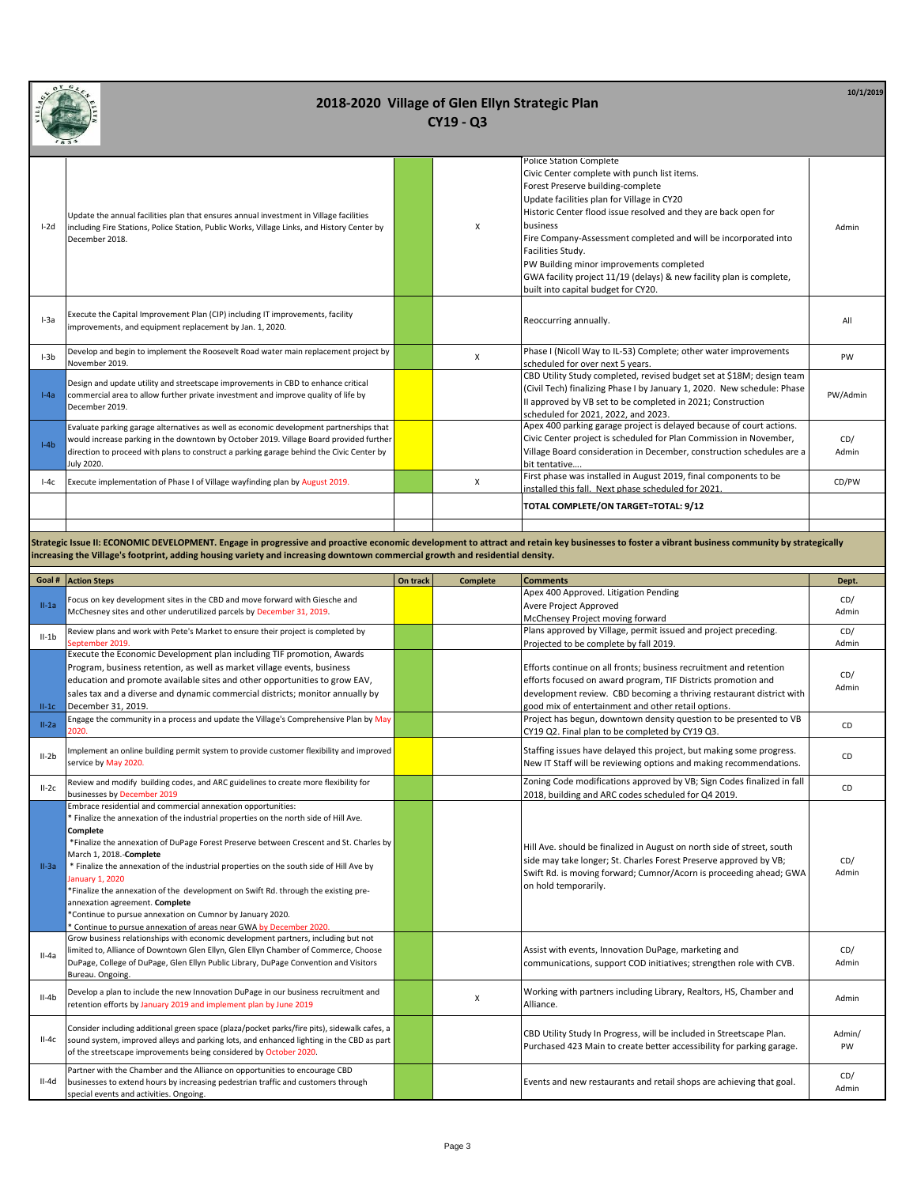

| $I-2d$ | Update the annual facilities plan that ensures annual investment in Village facilities<br>including Fire Stations, Police Station, Public Works, Village Links, and History Center by<br>December 2018.                                                                                    | X | Police Station Complete<br>Civic Center complete with punch list items.<br>Forest Preserve building-complete<br>Update facilities plan for Village in CY20<br>Historic Center flood issue resolved and they are back open for<br>business<br>Fire Company-Assessment completed and will be incorporated into<br>Facilities Study.<br>PW Building minor improvements completed<br>GWA facility project 11/19 (delays) & new facility plan is complete,<br>built into capital budget for CY20. | Admin        |
|--------|--------------------------------------------------------------------------------------------------------------------------------------------------------------------------------------------------------------------------------------------------------------------------------------------|---|----------------------------------------------------------------------------------------------------------------------------------------------------------------------------------------------------------------------------------------------------------------------------------------------------------------------------------------------------------------------------------------------------------------------------------------------------------------------------------------------|--------------|
| $I-3a$ | Execute the Capital Improvement Plan (CIP) including IT improvements, facility<br>improvements, and equipment replacement by Jan. 1, 2020.                                                                                                                                                 |   | Reoccurring annually.                                                                                                                                                                                                                                                                                                                                                                                                                                                                        | All          |
| $1-3b$ | Develop and begin to implement the Roosevelt Road water main replacement project by<br>November 2019.                                                                                                                                                                                      | x | Phase I (Nicoll Way to IL-53) Complete; other water improvements<br>scheduled for over next 5 years.                                                                                                                                                                                                                                                                                                                                                                                         | PW           |
| $I-Aa$ | Design and update utility and streetscape improvements in CBD to enhance critical<br>commercial area to allow further private investment and improve quality of life by<br>December 2019.                                                                                                  |   | CBD Utility Study completed, revised budget set at \$18M; design team<br>(Civil Tech) finalizing Phase I by January 1, 2020. New schedule: Phase<br>II approved by VB set to be completed in 2021; Construction<br>scheduled for 2021, 2022, and 2023.                                                                                                                                                                                                                                       | PW/Admin     |
| $I-4b$ | Evaluate parking garage alternatives as well as economic development partnerships that<br>would increase parking in the downtown by October 2019. Village Board provided further<br>direction to proceed with plans to construct a parking garage behind the Civic Center by<br>July 2020. |   | Apex 400 parking garage project is delayed because of court actions.<br>Civic Center project is scheduled for Plan Commission in November,<br>Village Board consideration in December, construction schedules are a<br>bit tentative                                                                                                                                                                                                                                                         | CD/<br>Admin |
| $I-4c$ | Execute implementation of Phase I of Village wayfinding plan by August 2019.                                                                                                                                                                                                               | X | First phase was installed in August 2019, final components to be<br>installed this fall. Next phase scheduled for 2021                                                                                                                                                                                                                                                                                                                                                                       | CD/PW        |
|        |                                                                                                                                                                                                                                                                                            |   | TOTAL COMPLETE/ON TARGET=TOTAL: 9/12                                                                                                                                                                                                                                                                                                                                                                                                                                                         |              |
|        |                                                                                                                                                                                                                                                                                            |   |                                                                                                                                                                                                                                                                                                                                                                                                                                                                                              |              |

**Strategic Issue II: ECONOMIC DEVELOPMENT. Engage in progressive and proactive economic development to attract and retain key businesses to foster a vibrant business community by strategically increasing the Village's footprint, adding housing variety and increasing downtown commercial growth and residential density.**

| Goal #  | <b>Action Steps</b>                                                                                                                                                                                                                                                                                                                                                                                                                                                                                                                                                                                                                                           | On track | <b>Complete</b> | <b>Comments</b>                                                                                                                                                                                                                           | Dept.        |
|---------|---------------------------------------------------------------------------------------------------------------------------------------------------------------------------------------------------------------------------------------------------------------------------------------------------------------------------------------------------------------------------------------------------------------------------------------------------------------------------------------------------------------------------------------------------------------------------------------------------------------------------------------------------------------|----------|-----------------|-------------------------------------------------------------------------------------------------------------------------------------------------------------------------------------------------------------------------------------------|--------------|
|         | Focus on key development sites in the CBD and move forward with Giesche and                                                                                                                                                                                                                                                                                                                                                                                                                                                                                                                                                                                   |          |                 | Apex 400 Approved. Litigation Pending                                                                                                                                                                                                     | CD/          |
| $II-1a$ | McChesney sites and other underutilized parcels by December 31, 2019.                                                                                                                                                                                                                                                                                                                                                                                                                                                                                                                                                                                         |          |                 | Avere Project Approved                                                                                                                                                                                                                    | Admin        |
|         |                                                                                                                                                                                                                                                                                                                                                                                                                                                                                                                                                                                                                                                               |          |                 | McChensey Project moving forward                                                                                                                                                                                                          |              |
| $II-1b$ | Review plans and work with Pete's Market to ensure their project is completed by                                                                                                                                                                                                                                                                                                                                                                                                                                                                                                                                                                              |          |                 | Plans approved by Village, permit issued and project preceding.                                                                                                                                                                           | CD/          |
|         | September 2019.                                                                                                                                                                                                                                                                                                                                                                                                                                                                                                                                                                                                                                               |          |                 | Projected to be complete by fall 2019.                                                                                                                                                                                                    | Admin        |
|         | Execute the Economic Development plan including TIF promotion, Awards                                                                                                                                                                                                                                                                                                                                                                                                                                                                                                                                                                                         |          |                 |                                                                                                                                                                                                                                           |              |
|         | Program, business retention, as well as market village events, business                                                                                                                                                                                                                                                                                                                                                                                                                                                                                                                                                                                       |          |                 | Efforts continue on all fronts; business recruitment and retention                                                                                                                                                                        | CD/          |
|         | education and promote available sites and other opportunities to grow EAV,                                                                                                                                                                                                                                                                                                                                                                                                                                                                                                                                                                                    |          |                 | efforts focused on award program, TIF Districts promotion and                                                                                                                                                                             | Admin        |
|         | sales tax and a diverse and dynamic commercial districts; monitor annually by                                                                                                                                                                                                                                                                                                                                                                                                                                                                                                                                                                                 |          |                 | development review. CBD becoming a thriving restaurant district with                                                                                                                                                                      |              |
| $II-1C$ | December 31, 2019.                                                                                                                                                                                                                                                                                                                                                                                                                                                                                                                                                                                                                                            |          |                 | good mix of entertainment and other retail options.                                                                                                                                                                                       |              |
| $II-2a$ | Engage the community in a process and update the Village's Comprehensive Plan by May                                                                                                                                                                                                                                                                                                                                                                                                                                                                                                                                                                          |          |                 | Project has begun, downtown density question to be presented to VB                                                                                                                                                                        | CD           |
|         | 2020.                                                                                                                                                                                                                                                                                                                                                                                                                                                                                                                                                                                                                                                         |          |                 | CY19 Q2. Final plan to be completed by CY19 Q3.                                                                                                                                                                                           |              |
| $II-2b$ | Implement an online building permit system to provide customer flexibility and improved                                                                                                                                                                                                                                                                                                                                                                                                                                                                                                                                                                       |          |                 | Staffing issues have delayed this project, but making some progress.                                                                                                                                                                      | CD           |
|         | service by May 2020.                                                                                                                                                                                                                                                                                                                                                                                                                                                                                                                                                                                                                                          |          |                 | New IT Staff will be reviewing options and making recommendations.                                                                                                                                                                        |              |
| $II-2C$ | Review and modify building codes, and ARC guidelines to create more flexibility for                                                                                                                                                                                                                                                                                                                                                                                                                                                                                                                                                                           |          |                 | Zoning Code modifications approved by VB; Sign Codes finalized in fall                                                                                                                                                                    | CD           |
|         | businesses by December 2019                                                                                                                                                                                                                                                                                                                                                                                                                                                                                                                                                                                                                                   |          |                 | 2018, building and ARC codes scheduled for Q4 2019.                                                                                                                                                                                       |              |
| $II-3a$ | Embrace residential and commercial annexation opportunities:<br>* Finalize the annexation of the industrial properties on the north side of Hill Ave.<br>Complete<br>*Finalize the annexation of DuPage Forest Preserve between Crescent and St. Charles by<br>March 1, 2018.-Complete<br>* Finalize the annexation of the industrial properties on the south side of Hill Ave by<br>January 1, 2020<br>*Finalize the annexation of the development on Swift Rd. through the existing pre-<br>annexation agreement. Complete<br>*Continue to pursue annexation on Cumnor by January 2020.<br>Continue to pursue annexation of areas near GWA by December 2020 |          |                 | Hill Ave. should be finalized in August on north side of street, south<br>side may take longer; St. Charles Forest Preserve approved by VB;<br>Swift Rd. is moving forward; Cumnor/Acorn is proceeding ahead; GWA<br>on hold temporarily. | CD/<br>Admin |
| $II-4a$ | Grow business relationships with economic development partners, including but not<br>limited to, Alliance of Downtown Glen Ellyn, Glen Ellyn Chamber of Commerce, Choose<br>DuPage, College of DuPage, Glen Ellyn Public Library, DuPage Convention and Visitors<br>Bureau. Ongoing.                                                                                                                                                                                                                                                                                                                                                                          |          |                 | Assist with events, Innovation DuPage, marketing and<br>communications, support COD initiatives; strengthen role with CVB.                                                                                                                | CD/<br>Admin |
| $II-4b$ | Develop a plan to include the new Innovation DuPage in our business recruitment and<br>retention efforts by January 2019 and implement plan by June 2019                                                                                                                                                                                                                                                                                                                                                                                                                                                                                                      |          | x               | Working with partners including Library, Realtors, HS, Chamber and<br>Alliance.                                                                                                                                                           | Admin        |
| $II-4c$ | Consider including additional green space (plaza/pocket parks/fire pits), sidewalk cafes, a<br>sound system, improved alleys and parking lots, and enhanced lighting in the CBD as part<br>of the streetscape improvements being considered by October 2020.                                                                                                                                                                                                                                                                                                                                                                                                  |          |                 | CBD Utility Study In Progress, will be included in Streetscape Plan.<br>Purchased 423 Main to create better accessibility for parking garage.                                                                                             | Admin/<br>PW |
| II-4d   | Partner with the Chamber and the Alliance on opportunities to encourage CBD<br>businesses to extend hours by increasing pedestrian traffic and customers through<br>special events and activities. Ongoing.                                                                                                                                                                                                                                                                                                                                                                                                                                                   |          |                 | Events and new restaurants and retail shops are achieving that goal.                                                                                                                                                                      | CD/<br>Admin |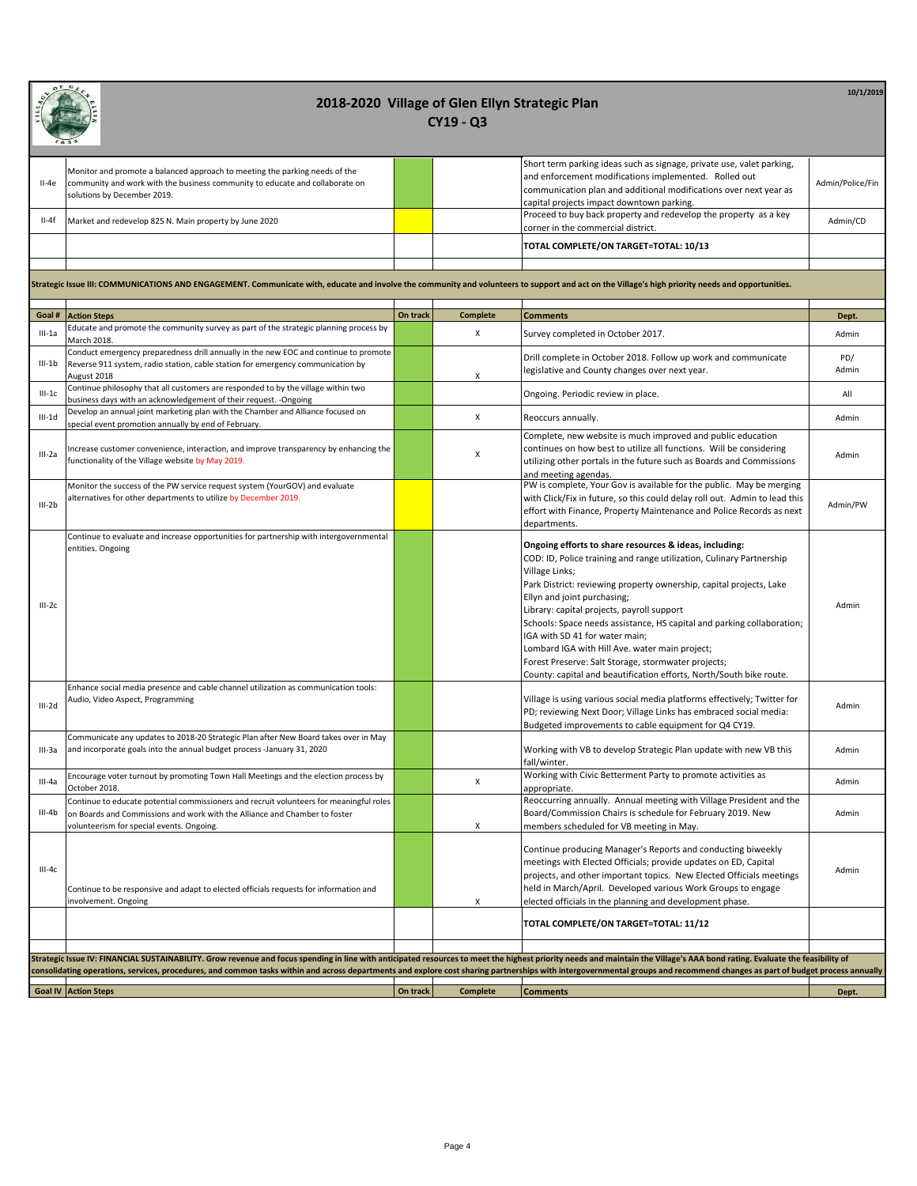| $II-4e$  | Monitor and promote a balanced approach to meeting the parking needs of the<br>community and work with the business community to educate and collaborate on<br>solutions by December 2019.                                  |          |                    | Short term parking ideas such as signage, private use, valet parking,<br>and enforcement modifications implemented. Rolled out<br>communication plan and additional modifications over next year as<br>capital projects impact downtown parking.                                                                                                                                                                                                                                                                                                                                                 | Admin/Police/Fin |  |  |  |  |
|----------|-----------------------------------------------------------------------------------------------------------------------------------------------------------------------------------------------------------------------------|----------|--------------------|--------------------------------------------------------------------------------------------------------------------------------------------------------------------------------------------------------------------------------------------------------------------------------------------------------------------------------------------------------------------------------------------------------------------------------------------------------------------------------------------------------------------------------------------------------------------------------------------------|------------------|--|--|--|--|
| II-4f    | Market and redevelop 825 N. Main property by June 2020                                                                                                                                                                      |          |                    | Proceed to buy back property and redevelop the property as a key<br>corner in the commercial district.                                                                                                                                                                                                                                                                                                                                                                                                                                                                                           | Admin/CD         |  |  |  |  |
|          |                                                                                                                                                                                                                             |          |                    | TOTAL COMPLETE/ON TARGET=TOTAL: 10/13                                                                                                                                                                                                                                                                                                                                                                                                                                                                                                                                                            |                  |  |  |  |  |
|          |                                                                                                                                                                                                                             |          |                    |                                                                                                                                                                                                                                                                                                                                                                                                                                                                                                                                                                                                  |                  |  |  |  |  |
|          | Strategic Issue III: COMMUNICATIONS AND ENGAGEMENT. Communicate with, educate and involve the community and volunteers to support and act on the Village's high priority needs and opportunities.                           |          |                    |                                                                                                                                                                                                                                                                                                                                                                                                                                                                                                                                                                                                  |                  |  |  |  |  |
|          | Goal # Action Steps                                                                                                                                                                                                         | On track | <b>Complete</b>    | <b>Comments</b>                                                                                                                                                                                                                                                                                                                                                                                                                                                                                                                                                                                  | Dept.            |  |  |  |  |
| $III-1a$ | Educate and promote the community survey as part of the strategic planning process by<br>March 2018.                                                                                                                        |          | X                  | Survey completed in October 2017.                                                                                                                                                                                                                                                                                                                                                                                                                                                                                                                                                                | Admin            |  |  |  |  |
| $III-1b$ | Conduct emergency preparedness drill annually in the new EOC and continue to promote<br>Reverse 911 system, radio station, cable station for emergency communication by                                                     |          |                    | Drill complete in October 2018. Follow up work and communicate                                                                                                                                                                                                                                                                                                                                                                                                                                                                                                                                   | PD/              |  |  |  |  |
|          | August 2018                                                                                                                                                                                                                 |          | X                  | legislative and County changes over next year.                                                                                                                                                                                                                                                                                                                                                                                                                                                                                                                                                   | Admin            |  |  |  |  |
| $III-1c$ | Continue philosophy that all customers are responded to by the village within two<br>business days with an acknowledgement of their request. - Ongoing                                                                      |          |                    | Ongoing. Periodic review in place.                                                                                                                                                                                                                                                                                                                                                                                                                                                                                                                                                               | All              |  |  |  |  |
| $III-1d$ | Develop an annual joint marketing plan with the Chamber and Alliance focused on<br>special event promotion annually by end of February.                                                                                     |          | $\pmb{\chi}$       | Reoccurs annually.                                                                                                                                                                                                                                                                                                                                                                                                                                                                                                                                                                               | Admin            |  |  |  |  |
| III-2a   | ncrease customer convenience, interaction, and improve transparency by enhancing the<br>functionality of the Village website by May 2019.                                                                                   |          | X                  | Complete, new website is much improved and public education<br>continues on how best to utilize all functions. Will be considering<br>utilizing other portals in the future such as Boards and Commissions<br>and meeting agendas.                                                                                                                                                                                                                                                                                                                                                               | Admin            |  |  |  |  |
| $III-2b$ | Monitor the success of the PW service request system (YourGOV) and evaluate<br>alternatives for other departments to utilize by December 2019.                                                                              |          |                    | PW is complete, Your Gov is available for the public. May be merging<br>with Click/Fix in future, so this could delay roll out. Admin to lead this<br>effort with Finance, Property Maintenance and Police Records as next<br>departments.                                                                                                                                                                                                                                                                                                                                                       | Admin/PW         |  |  |  |  |
| $III-2c$ | Continue to evaluate and increase opportunities for partnership with intergovernmental<br>entities. Ongoing                                                                                                                 |          |                    | Ongoing efforts to share resources & ideas, including:<br>COD: ID, Police training and range utilization, Culinary Partnership<br>Village Links;<br>Park District: reviewing property ownership, capital projects, Lake<br>Ellyn and joint purchasing;<br>Library: capital projects, payroll support<br>Schools: Space needs assistance, HS capital and parking collaboration;<br>IGA with SD 41 for water main;<br>Lombard IGA with Hill Ave. water main project;<br>Forest Preserve: Salt Storage, stormwater projects;<br>County: capital and beautification efforts, North/South bike route. | Admin            |  |  |  |  |
| $III-2d$ | Enhance social media presence and cable channel utilization as communication tools:<br>Audio, Video Aspect, Programming                                                                                                     |          |                    | Village is using various social media platforms effectively; Twitter for<br>PD; reviewing Next Door; Village Links has embraced social media:<br>Budgeted improvements to cable equipment for Q4 CY19.                                                                                                                                                                                                                                                                                                                                                                                           | Admin            |  |  |  |  |
| III-3a   | Communicate any updates to 2018-20 Strategic Plan after New Board takes over in May<br>and incorporate goals into the annual budget process -January 31, 2020                                                               |          |                    | Working with VB to develop Strategic Plan update with new VB this<br>fall/winter.                                                                                                                                                                                                                                                                                                                                                                                                                                                                                                                | Admin            |  |  |  |  |
| III-4a   | Encourage voter turnout by promoting Town Hall Meetings and the election process by<br>October 2018.                                                                                                                        |          | $\pmb{\mathsf{X}}$ | Working with Civic Betterment Party to promote activities as<br>appropriate.                                                                                                                                                                                                                                                                                                                                                                                                                                                                                                                     | Admin            |  |  |  |  |
| $III-4b$ | Continue to educate potential commissioners and recruit volunteers for meaningful roles<br>on Boards and Commissions and work with the Alliance and Chamber to foster<br>volunteerism for special events. Ongoing.          |          | Х                  | Reoccurring annually. Annual meeting with Village President and the<br>Board/Commission Chairs is schedule for February 2019. New<br>members scheduled for VB meeting in May.                                                                                                                                                                                                                                                                                                                                                                                                                    | Admin            |  |  |  |  |
| $III-4c$ | Continue to be responsive and adapt to elected officials requests for information and<br>involvement. Ongoing                                                                                                               |          | Χ                  | Continue producing Manager's Reports and conducting biweekly<br>meetings with Elected Officials; provide updates on ED, Capital<br>projects, and other important topics. New Elected Officials meetings<br>held in March/April. Developed various Work Groups to engage<br>elected officials in the planning and development phase.                                                                                                                                                                                                                                                              | Admin            |  |  |  |  |
|          |                                                                                                                                                                                                                             |          |                    | TOTAL COMPLETE/ON TARGET=TOTAL: 11/12                                                                                                                                                                                                                                                                                                                                                                                                                                                                                                                                                            |                  |  |  |  |  |
|          |                                                                                                                                                                                                                             |          |                    |                                                                                                                                                                                                                                                                                                                                                                                                                                                                                                                                                                                                  |                  |  |  |  |  |
|          | Strategic Issue IV: FINANCIAL SUSTAINABILITY. Grow revenue and focus spending in line with anticipated resources to meet the highest priority needs and maintain the Village's AAA bond rating. Evaluate the feasibility of |          |                    |                                                                                                                                                                                                                                                                                                                                                                                                                                                                                                                                                                                                  |                  |  |  |  |  |
|          | consolidating operations, services, procedures, and common tasks within and across departments and explore cost sharing partnerships with intergovernmental groups and recommend changes as part of budget process annually |          |                    |                                                                                                                                                                                                                                                                                                                                                                                                                                                                                                                                                                                                  |                  |  |  |  |  |
|          | <b>Goal IV Action Steps</b>                                                                                                                                                                                                 | On track | <b>Complete</b>    | <b>Comments</b>                                                                                                                                                                                                                                                                                                                                                                                                                                                                                                                                                                                  | Dept.            |  |  |  |  |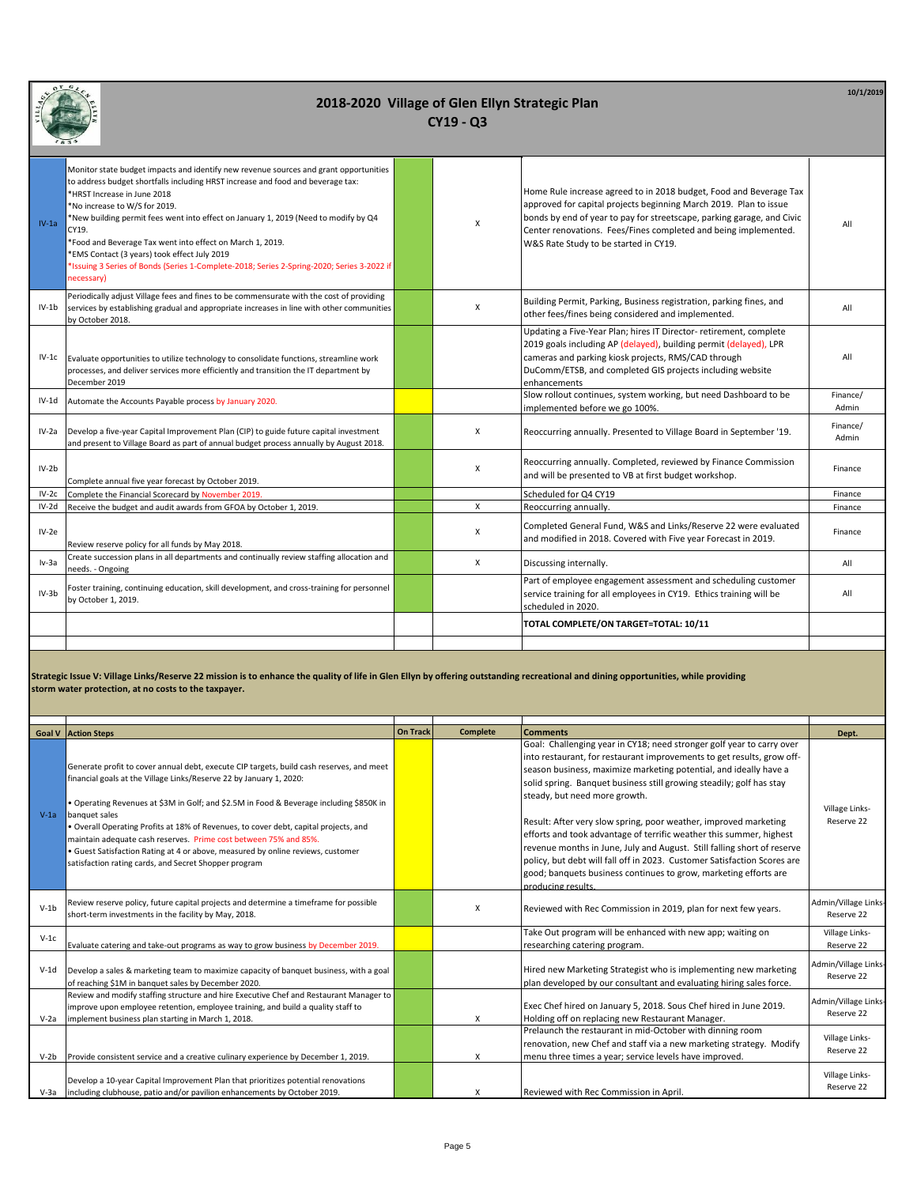| $IV-1a$ | Monitor state budget impacts and identify new revenue sources and grant opportunities<br>to address budget shortfalls including HRST increase and food and beverage tax:<br>*HRST Increase in June 2018<br>*No increase to W/S for 2019.<br>*New building permit fees went into effect on January 1, 2019 (Need to modify by Q4<br>CY19.<br>*Food and Beverage Tax went into effect on March 1, 2019.<br>*EMS Contact (3 years) took effect July 2019<br>*Issuing 3 Series of Bonds (Series 1-Complete-2018; Series 2-Spring-2020; Series 3-2022 if<br>necessary) | X        | Home Rule increase agreed to in 2018 budget, Food and Beverage Tax<br>approved for capital projects beginning March 2019. Plan to issue<br>bonds by end of year to pay for streetscape, parking garage, and Civic<br>Center renovations. Fees/Fines completed and being implemented.<br>W&S Rate Study to be started in CY19. | All               |
|---------|-------------------------------------------------------------------------------------------------------------------------------------------------------------------------------------------------------------------------------------------------------------------------------------------------------------------------------------------------------------------------------------------------------------------------------------------------------------------------------------------------------------------------------------------------------------------|----------|-------------------------------------------------------------------------------------------------------------------------------------------------------------------------------------------------------------------------------------------------------------------------------------------------------------------------------|-------------------|
| $IV-1b$ | Periodically adjust Village fees and fines to be commensurate with the cost of providing<br>services by establishing gradual and appropriate increases in line with other communities<br>by October 2018.                                                                                                                                                                                                                                                                                                                                                         | X        | Building Permit, Parking, Business registration, parking fines, and<br>other fees/fines being considered and implemented.                                                                                                                                                                                                     | All               |
| $IV-1c$ | Evaluate opportunities to utilize technology to consolidate functions, streamline work<br>processes, and deliver services more efficiently and transition the IT department by<br>December 2019                                                                                                                                                                                                                                                                                                                                                                   |          | Updating a Five-Year Plan; hires IT Director- retirement, complete<br>2019 goals including AP (delayed), building permit (delayed), LPR<br>cameras and parking kiosk projects, RMS/CAD through<br>DuComm/ETSB, and completed GIS projects including website<br>enhancements                                                   | All               |
| IV-1d   | Automate the Accounts Payable process by January 2020.                                                                                                                                                                                                                                                                                                                                                                                                                                                                                                            |          | Slow rollout continues, system working, but need Dashboard to be<br>implemented before we go 100%.                                                                                                                                                                                                                            | Finance/<br>Admin |
| $IV-2a$ | Develop a five-year Capital Improvement Plan (CIP) to guide future capital investment<br>and present to Village Board as part of annual budget process annually by August 2018.                                                                                                                                                                                                                                                                                                                                                                                   | X        | Reoccurring annually. Presented to Village Board in September '19.                                                                                                                                                                                                                                                            | Finance/<br>Admin |
| $IV-2b$ | Complete annual five year forecast by October 2019.                                                                                                                                                                                                                                                                                                                                                                                                                                                                                                               | X        | Reoccurring annually. Completed, reviewed by Finance Commission<br>and will be presented to VB at first budget workshop.                                                                                                                                                                                                      | Finance           |
| $IV-2c$ | Complete the Financial Scorecard by November 2019.                                                                                                                                                                                                                                                                                                                                                                                                                                                                                                                |          | Scheduled for Q4 CY19                                                                                                                                                                                                                                                                                                         | Finance           |
| IV-2d   | Receive the budget and audit awards from GFOA by October 1, 2019.                                                                                                                                                                                                                                                                                                                                                                                                                                                                                                 | $\times$ | Reoccurring annually.                                                                                                                                                                                                                                                                                                         | Finance           |
| $IV-2e$ | Review reserve policy for all funds by May 2018.                                                                                                                                                                                                                                                                                                                                                                                                                                                                                                                  | X        | Completed General Fund, W&S and Links/Reserve 22 were evaluated<br>and modified in 2018. Covered with Five year Forecast in 2019.                                                                                                                                                                                             | Finance           |
| lv-3a   | Create succession plans in all departments and continually review staffing allocation and<br>needs. - Ongoing                                                                                                                                                                                                                                                                                                                                                                                                                                                     | $\times$ | Discussing internally.                                                                                                                                                                                                                                                                                                        | All               |
| $IV-3b$ | Foster training, continuing education, skill development, and cross-training for personnel<br>by October 1, 2019.                                                                                                                                                                                                                                                                                                                                                                                                                                                 |          | Part of employee engagement assessment and scheduling customer<br>service training for all employees in CY19. Ethics training will be<br>scheduled in 2020.                                                                                                                                                                   | All               |
|         |                                                                                                                                                                                                                                                                                                                                                                                                                                                                                                                                                                   |          | TOTAL COMPLETE/ON TARGET=TOTAL: 10/11                                                                                                                                                                                                                                                                                         |                   |
|         |                                                                                                                                                                                                                                                                                                                                                                                                                                                                                                                                                                   |          |                                                                                                                                                                                                                                                                                                                               |                   |

**Strategic Issue V: Village Links/Reserve 22 mission is to enhance the quality of life in Glen Ellyn by offering outstanding recreational and dining opportunities, while providing storm water protection, at no costs to the taxpayer.**

|        | <b>Goal V</b> Action Steps                                                                                                                                                                                                                                                                                                                                                                                                                                                                                                                                                          | <b>On Track</b> | <b>Complete</b> | <b>Comments</b>                                                                                                                                                                                                                                                                                                                                                                                                                                                                                                                                                                                                                                                                                                           | Dept.                              |
|--------|-------------------------------------------------------------------------------------------------------------------------------------------------------------------------------------------------------------------------------------------------------------------------------------------------------------------------------------------------------------------------------------------------------------------------------------------------------------------------------------------------------------------------------------------------------------------------------------|-----------------|-----------------|---------------------------------------------------------------------------------------------------------------------------------------------------------------------------------------------------------------------------------------------------------------------------------------------------------------------------------------------------------------------------------------------------------------------------------------------------------------------------------------------------------------------------------------------------------------------------------------------------------------------------------------------------------------------------------------------------------------------------|------------------------------------|
| $V-1a$ | Generate profit to cover annual debt, execute CIP targets, build cash reserves, and meet<br>financial goals at the Village Links/Reserve 22 by January 1, 2020:<br>• Operating Revenues at \$3M in Golf; and \$2.5M in Food & Beverage including \$850K in<br>banquet sales<br>· Overall Operating Profits at 18% of Revenues, to cover debt, capital projects, and<br>maintain adequate cash reserves. Prime cost between 75% and 85%.<br>• Guest Satisfaction Rating at 4 or above, measured by online reviews, customer<br>satisfaction rating cards, and Secret Shopper program |                 |                 | Goal: Challenging year in CY18; need stronger golf year to carry over<br>into restaurant, for restaurant improvements to get results, grow off-<br>season business, maximize marketing potential, and ideally have a<br>solid spring. Banquet business still growing steadily; golf has stay<br>steady, but need more growth.<br>Result: After very slow spring, poor weather, improved marketing<br>efforts and took advantage of terrific weather this summer, highest<br>revenue months in June, July and August. Still falling short of reserve<br>policy, but debt will fall off in 2023. Customer Satisfaction Scores are<br>good; banquets business continues to grow, marketing efforts are<br>producing results. | Village Links-<br>Reserve 22       |
| $V-1b$ | Review reserve policy, future capital projects and determine a timeframe for possible<br>short-term investments in the facility by May, 2018.                                                                                                                                                                                                                                                                                                                                                                                                                                       |                 | X               | Reviewed with Rec Commission in 2019, plan for next few years.                                                                                                                                                                                                                                                                                                                                                                                                                                                                                                                                                                                                                                                            | Admin/Village Links<br>Reserve 22  |
| $V-1c$ | Evaluate catering and take-out programs as way to grow business by December 2019.                                                                                                                                                                                                                                                                                                                                                                                                                                                                                                   |                 |                 | Take Out program will be enhanced with new app; waiting on<br>researching catering program.                                                                                                                                                                                                                                                                                                                                                                                                                                                                                                                                                                                                                               | Village Links-<br>Reserve 22       |
| $V-1d$ | Develop a sales & marketing team to maximize capacity of banquet business, with a goal<br>of reaching \$1M in banquet sales by December 2020.                                                                                                                                                                                                                                                                                                                                                                                                                                       |                 |                 | Hired new Marketing Strategist who is implementing new marketing<br>plan developed by our consultant and evaluating hiring sales force.                                                                                                                                                                                                                                                                                                                                                                                                                                                                                                                                                                                   | Admin/Village Links-<br>Reserve 22 |
| $V-2a$ | Review and modify staffing structure and hire Executive Chef and Restaurant Manager to<br>improve upon employee retention, employee training, and build a quality staff to<br>implement business plan starting in March 1, 2018.                                                                                                                                                                                                                                                                                                                                                    |                 | x               | Exec Chef hired on January 5, 2018. Sous Chef hired in June 2019.<br>Holding off on replacing new Restaurant Manager.                                                                                                                                                                                                                                                                                                                                                                                                                                                                                                                                                                                                     | Admin/Village Links-<br>Reserve 22 |
| $V-2b$ | Provide consistent service and a creative culinary experience by December 1, 2019.                                                                                                                                                                                                                                                                                                                                                                                                                                                                                                  |                 | X               | Prelaunch the restaurant in mid-October with dinning room<br>renovation, new Chef and staff via a new marketing strategy. Modify<br>menu three times a year; service levels have improved.                                                                                                                                                                                                                                                                                                                                                                                                                                                                                                                                | Village Links-<br>Reserve 22       |
|        | Develop a 10-year Capital Improvement Plan that prioritizes potential renovations<br>V-3a including clubhouse, patio and/or pavilion enhancements by October 2019.                                                                                                                                                                                                                                                                                                                                                                                                                  |                 | x               | Reviewed with Rec Commission in April.                                                                                                                                                                                                                                                                                                                                                                                                                                                                                                                                                                                                                                                                                    | Village Links-<br>Reserve 22       |